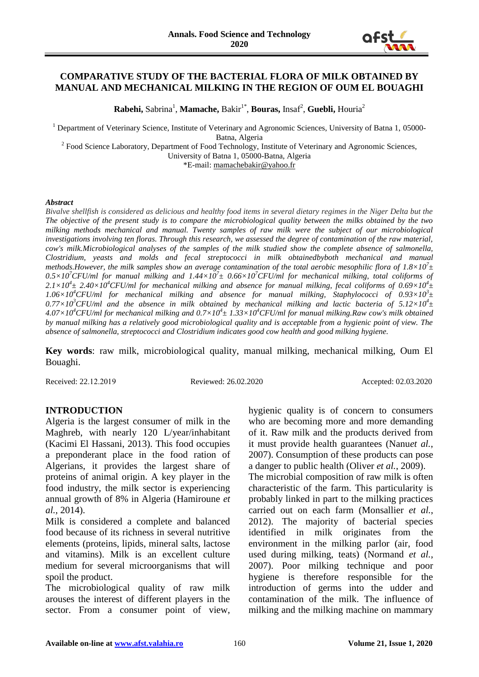

## **COMPARATIVE STUDY OF THE BACTERIAL FLORA OF MILK OBTAINED BY MANUAL AND MECHANICAL MILKING IN THE REGION OF OUM EL BOUAGHI**

**Rabehi,** Sabrina<sup>1</sup>, **Mamache,** Bakir<sup>1\*</sup>, **Bouras,** Insaf<sup>2</sup>, **Guebli,** Houria<sup>2</sup>

<sup>1</sup> Department of Veterinary Science, Institute of Veterinary and Agronomic Sciences, University of Batna 1, 05000-

Batna, Algeria

<sup>2</sup> Food Science Laboratory, Department of Food Technology, Institute of Veterinary and Agronomic Sciences, University of Batna 1, 05000-Batna, Algeria

\*E-mail: [mamachebakir@yahoo.fr](mailto:mamachebakir@yahoo.fr)

#### *Abstract*

*Bivalve shellfish is considered as delicious and healthy food items in several dietary regimes in the Niger Delta but the The objective of the present study is to compare the microbiological quality between the milks obtained by the two milking methods mechanical and manual. Twenty samples of raw milk were the subject of our microbiological investigations involving ten floras. Through this research, we assessed the degree of contamination of the raw material, cow's milk.Microbiological analyses of the samples of the milk studied show the complete absence of salmonella, Clostridium, yeasts and molds and fecal streptococci in milk obtainedbyboth mechanical and manual methods.However, the milk samples show an average contamination of the total aerobic mesophilic flora of 1.8×10<sup>7</sup> ± 0.5×10<sup>7</sup>CFU/ml for manual milking and 1.44×10<sup>7</sup> ± 0.66×10<sup>7</sup>CFU/ml for mechanical milking, total coliforms of*   $2.1\times10^4$   $\pm$  2.40 $\times10^4$ CFU/ml for mechanical milking and absence for manual milking, fecal coliforms of 0.69 $\times10^4$   $\pm$  $1.06\times10^4$ CFU/ml for mechanical milking and absence for manual milking, Staphylococci of  $0.93\times10^3$ ±  $0.77\times10^3$ CFU/ml and the absence in milk obtained by mechanical milking and lactic bacteria of  $5.12\times10^4$ ± *4.07×10<sup>4</sup>CFU/ml for mechanical milking and 0.7×10<sup>4</sup> ± 1.33×10<sup>4</sup>CFU/ml for manual milking.Raw cow's milk obtained by manual milking has a relatively good microbiological quality and is acceptable from a hygienic point of view. The absence of salmonella, streptococci and Clostridium indicates good cow health and good milking hygiene.*

**Key words**: raw milk, microbiological quality, manual milking, mechanical milking, Oum El Bouaghi.

Received: 22.12.2019 Reviewed: 26.02.2020 Accepted: 02.03.2020

#### **INTRODUCTION**

Algeria is the largest consumer of milk in the Maghreb, with nearly 120 L/year/inhabitant (Kacimi El Hassani, 2013). This food occupies a preponderant place in the food ration of Algerians, it provides the largest share of proteins of animal origin. A key player in the food industry, the milk sector is experiencing annual growth of 8% in Algeria (Hamiroune *et al.*, 2014).

Milk is considered a complete and balanced food because of its richness in several nutritive elements (proteins, lipids, mineral salts, lactose and vitamins). Milk is an excellent culture medium for several microorganisms that will spoil the product.

The microbiological quality of raw milk arouses the interest of different players in the sector. From a consumer point of view,

hygienic quality is of concern to consumers who are becoming more and more demanding of it. Raw milk and the products derived from it must provide health guarantees (Nanu*et al.*, 2007). Consumption of these products can pose a danger to public health (Oliver *et al.*, 2009).

The microbial composition of raw milk is often characteristic of the farm. This particularity is probably linked in part to the milking practices carried out on each farm (Monsallier *et al.*, 2012). The majority of bacterial species identified in milk originates from the environment in the milking parlor (air, food used during milking, teats) (Normand *et al.*, 2007). Poor milking technique and poor hygiene is therefore responsible for the introduction of germs into the udder and contamination of the milk. The influence of milking and the milking machine on mammary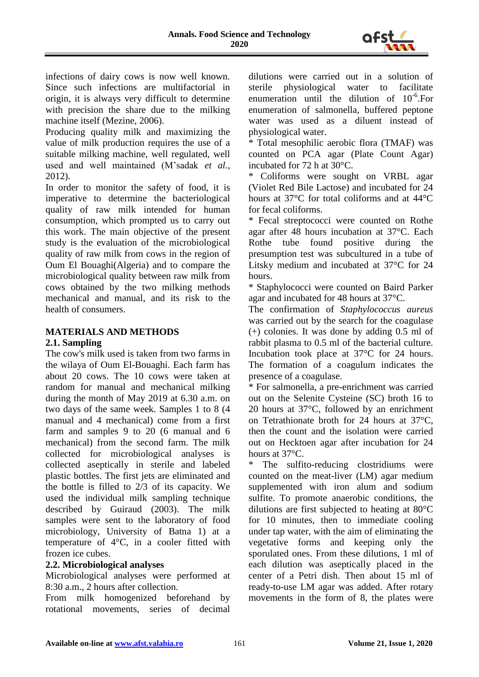

infections of dairy cows is now well known. Since such infections are multifactorial in origin, it is always very difficult to determine with precision the share due to the milking machine itself (Mezine, 2006).

Producing quality milk and maximizing the value of milk production requires the use of a suitable milking machine, well regulated, well used and well maintained (M'sadak *et al.*, 2012).

In order to monitor the safety of food, it is imperative to determine the bacteriological quality of raw milk intended for human consumption, which prompted us to carry out this work. The main objective of the present study is the evaluation of the microbiological quality of raw milk from cows in the region of Oum El Bouaghi(Algeria) and to compare the microbiological quality between raw milk from cows obtained by the two milking methods mechanical and manual, and its risk to the health of consumers.

# **MATERIALS AND METHODS**

# **2.1. Sampling**

The cow's milk used is taken from two farms in the wilaya of Oum El-Bouaghi. Each farm has about 20 cows. The 10 cows were taken at random for manual and mechanical milking during the month of May 2019 at 6.30 a.m. on two days of the same week. Samples 1 to 8 (4 manual and 4 mechanical) come from a first farm and samples 9 to 20 (6 manual and 6 mechanical) from the second farm. The milk collected for microbiological analyses is collected aseptically in sterile and labeled plastic bottles. The first jets are eliminated and the bottle is filled to 2/3 of its capacity. We used the individual milk sampling technique described by Guiraud (2003). The milk samples were sent to the laboratory of food microbiology, University of Batna 1) at a temperature of 4°C, in a cooler fitted with frozen ice cubes.

## **2.2. Microbiological analyses**

Microbiological analyses were performed at 8:30 a.m., 2 hours after collection.

From milk homogenized beforehand by rotational movements, series of decimal dilutions were carried out in a solution of sterile physiological water to facilitate enumeration until the dilution of  $10^{-6}$ . For enumeration of salmonella, buffered peptone water was used as a diluent instead of physiological water.

\* Total mesophilic aerobic flora (TMAF) was counted on PCA agar (Plate Count Agar) incubated for 72 h at 30°C.

Coliforms were sought on VRBL agar (Violet Red Bile Lactose) and incubated for 24 hours at 37°C for total coliforms and at 44°C for fecal coliforms.

\* Fecal streptococci were counted on Rothe agar after 48 hours incubation at 37°C. Each Rothe tube found positive during the presumption test was subcultured in a tube of Litsky medium and incubated at 37°C for 24 hours.

\* Staphylococci were counted on Baird Parker agar and incubated for 48 hours at 37°C.

The confirmation of *Staphylococcus aureus* was carried out by the search for the coagulase (+) colonies. It was done by adding 0.5 ml of rabbit plasma to 0.5 ml of the bacterial culture. Incubation took place at 37°C for 24 hours. The formation of a coagulum indicates the presence of a coagulase.

\* For salmonella, a pre-enrichment was carried out on the Selenite Cysteine (SC) broth 16 to 20 hours at 37°C, followed by an enrichment on Tetrathionate broth for 24 hours at 37°C, then the count and the isolation were carried out on Hecktoen agar after incubation for 24 hours at 37°C.

The sulfito-reducing clostridiums were counted on the meat-liver (LM) agar medium supplemented with iron alum and sodium sulfite. To promote anaerobic conditions, the dilutions are first subjected to heating at 80°C for 10 minutes, then to immediate cooling under tap water, with the aim of eliminating the vegetative forms and keeping only the sporulated ones. From these dilutions, 1 ml of each dilution was aseptically placed in the center of a Petri dish. Then about 15 ml of ready-to-use LM agar was added. After rotary movements in the form of 8, the plates were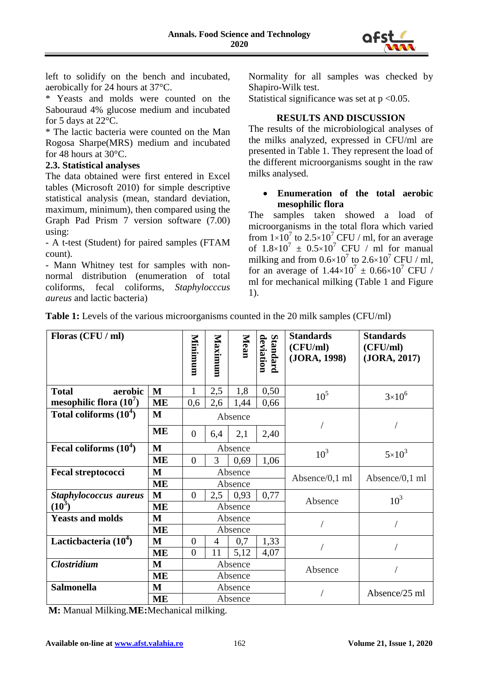

left to solidify on the bench and incubated, aerobically for 24 hours at 37°C.

\* Yeasts and molds were counted on the Sabouraud 4% glucose medium and incubated for 5 days at 22°C.

\* The lactic bacteria were counted on the Man Rogosa Sharpe(MRS) medium and incubated for 48 hours at 30°C.

#### **2.3. Statistical analyses**

The data obtained were first entered in Excel tables (Microsoft 2010) for simple descriptive statistical analysis (mean, standard deviation, maximum, minimum), then compared using the Graph Pad Prism 7 version software (7.00) using:

- A t-test (Student) for paired samples (FTAM count).

- Mann Whitney test for samples with nonnormal distribution (enumeration of total coliforms, fecal coliforms, *Staphylocccus aureus* and lactic bacteria)

Normality for all samples was checked by Shapiro-Wilk test.

Statistical significance was set at  $p < 0.05$ .

#### **RESULTS AND DISCUSSION**

The results of the microbiological analyses of the milks analyzed, expressed in CFU/ml are presented in Table 1. They represent the load of the different microorganisms sought in the raw milks analysed.

#### **Enumeration of the total aerobic mesophilic flora**

The samples taken showed a load of microorganisms in the total flora which varied from  $1\times10^7$  to  $2.5\times10^7$  CFU / ml, for an average of  $1.8 \times 10^7 \pm 0.5 \times 10^7$  CFU / ml for manual milking and from  $0.6 \times 10^7$  to  $2.6 \times 10^7$  CFU / ml, for an average of  $1.44 \times 10^7 \pm 0.66 \times 10^7$  CFU / ml for mechanical milking (Table 1 and Figure 1).

| <b>Table 1:</b> Levels of the various microorganisms counted in the 20 milk samples (CFU/ml) |  |  |
|----------------------------------------------------------------------------------------------|--|--|
|                                                                                              |  |  |

| Floras (CFU / ml)         |           | Minimum        | Maximum | Mean            | Standard<br>deviation | <b>Standards</b><br>(CFU/ml)<br>(JORA, 1998) | <b>Standards</b><br>(CFU/ml)<br>(JORA, 2017) |
|---------------------------|-----------|----------------|---------|-----------------|-----------------------|----------------------------------------------|----------------------------------------------|
| aerobic<br><b>Total</b>   | M         | 1              | 2,5     | 1,8             | 0,50                  | 10 <sup>5</sup>                              | $3 \times 10^{6}$                            |
| mesophilic flora $(10^7)$ | ME        | 0,6            | 2,6     | 1,44            | 0,66                  |                                              |                                              |
| Total coliforms $(10^4)$  | M         | Absence        |         |                 |                       |                                              |                                              |
|                           | <b>ME</b> | $\overline{0}$ | 6,4     | 2,1             | 2,40                  |                                              |                                              |
| Fecal coliforms $(10^4)$  | M         | Absence        |         | 10 <sup>3</sup> | $5\times10^3$         |                                              |                                              |
|                           | ME        | $\overline{0}$ | 3       | 0,69            | 1,06                  |                                              |                                              |
| <b>Fecal streptococci</b> | M         | Absence        |         | Absence/0,1 ml  | Absence/0,1 ml        |                                              |                                              |
|                           | <b>ME</b> | Absence        |         |                 |                       |                                              |                                              |
| Staphylococcus aureus     | M         | $\overline{0}$ | 2,5     | 0,93            | 0,77                  | Absence                                      | 10 <sup>3</sup>                              |
| $(10^3)$                  | ME        |                |         | Absence         |                       |                                              |                                              |
| <b>Yeasts and molds</b>   | M         | Absence        |         |                 |                       |                                              |                                              |
|                           | <b>ME</b> | Absence        |         |                 |                       |                                              |                                              |
| Lacticbacteria $(10^4)$   | M         | $\theta$       | 4       | 0,7             | 1,33                  |                                              |                                              |
|                           | ME        | $\overline{0}$ | 11      | 5,12            | 4,07                  |                                              |                                              |
| <b>Clostridium</b>        | M         | Absence        |         | Absence         |                       |                                              |                                              |
|                           | <b>ME</b> |                |         | Absence         |                       |                                              |                                              |
| <b>Salmonella</b>         | M         | Absence        |         |                 | Absence/25 ml         |                                              |                                              |
|                           | <b>ME</b> |                |         | Absence         |                       |                                              |                                              |

**M:** Manual Milking.**ME:**Mechanical milking.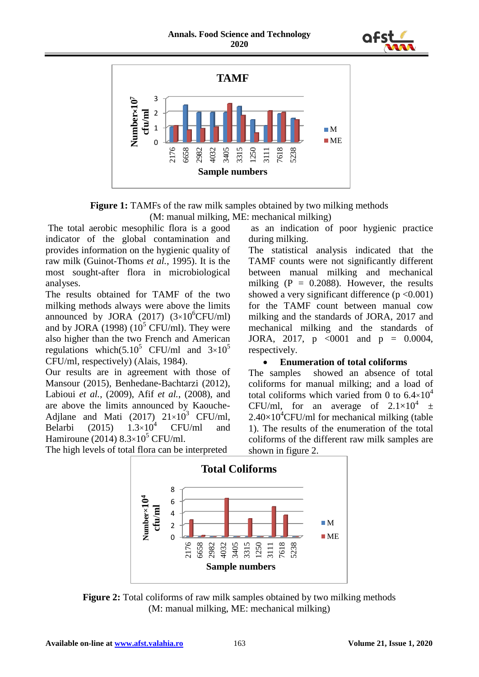



**Figure 1:** TAMFs of the raw milk samples obtained by two milking methods (M: manual milking, ME: mechanical milking)

The total aerobic mesophilic flora is a good indicator of the global contamination and provides information on the hygienic quality of raw milk (Guinot-Thoms *et al.*, 1995). It is the most sought-after flora in microbiological analyses.

The results obtained for TAMF of the two milking methods always were above the limits announced by JORA (2017)  $(3\times10^{6}$ CFU/ml) and by JORA (1998) ( $10^5$  CFU/ml). They were also higher than the two French and American regulations which(5.10<sup>5</sup> CFU/ml and  $3\times10^{5}$ CFU/ml, respectively) (Alais, 1984).

Our results are in agreement with those of Mansour (2015), Benhedane-Bachtarzi (2012), Labioui *et al.*, (2009), Afif *et al.*, (2008), and are above the limits announced by Kaouche-Adjlane and Mati (2017)  $21 \times 10^3$  CFU/ml, Belarbi (2015)  $1.3 \times 10^4$  CFU/ml and Hamiroune (2014)  $8.3 \times 10^5$  CFU/ml.

as an indication of poor hygienic practice during milking. The statistical analysis indicated that the

TAMF counts were not significantly different between manual milking and mechanical milking  $(P = 0.2088)$ . However, the results showed a very significant difference  $(p < 0.001)$ for the TAMF count between manual cow milking and the standards of JORA, 2017 and mechanical milking and the standards of JORA, 2017,  $p \le 0001$  and  $p = 0.0004$ , respectively.

#### **Enumeration of total coliforms**

The samples showed an absence of total coliforms for manual milking; and a load of total coliforms which varied from 0 to  $6.4\times10^4$ CFU/ml, for an average of  $2.1 \times 10^4$   $\pm$  $2.40\times10^{4}$ CFU/ml for mechanical milking (table 1). The results of the enumeration of the total coliforms of the different raw milk samples are shown in figure 2.





The high levels of total flora can be interpreted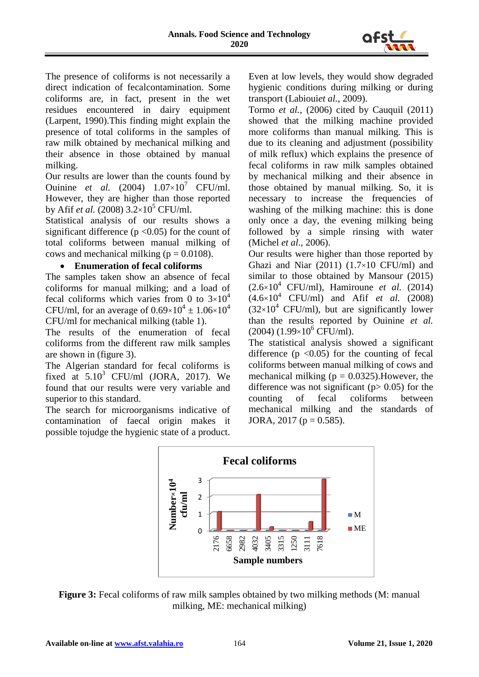

The presence of coliforms is not necessarily a direct indication of fecalcontamination. Some coliforms are, in fact, present in the wet residues encountered in dairy equipment (Larpent, 1990).This finding might explain the presence of total coliforms in the samples of raw milk obtained by mechanical milking and their absence in those obtained by manual milking.

Our results are lower than the counts found by Ouinine *et al.* (2004)  $1.07 \times 10^7$  CFU/ml. However, they are higher than those reported by Afif *et al.* (2008)  $3.2 \times 10^5$  CFU/ml.

Statistical analysis of our results shows a significant difference ( $p \le 0.05$ ) for the count of total coliforms between manual milking of cows and mechanical milking ( $p = 0.0108$ ).

## **Enumeration of fecal coliforms**

The samples taken show an absence of fecal coliforms for manual milking; and a load of fecal coliforms which varies from 0 to  $3\times10^4$ CFU/ml, for an average of  $0.69\times10^4 \pm 1.06\times10^4$ CFU/ml for mechanical milking (table 1).

The results of the enumeration of fecal coliforms from the different raw milk samples are shown in (figure 3).

The Algerian standard for fecal coliforms is fixed at  $5.10^3$  CFU/ml (JORA, 2017). We found that our results were very variable and superior to this standard.

The search for microorganisms indicative of contamination of faecal origin makes it possible tojudge the hygienic state of a product. Even at low levels, they would show degraded hygienic conditions during milking or during transport (Labioui*et al.*, 2009).

Tormo *et al.*, (2006) cited by Cauquil (2011) showed that the milking machine provided more coliforms than manual milking. This is due to its cleaning and adjustment (possibility of milk reflux) which explains the presence of fecal coliforms in raw milk samples obtained by mechanical milking and their absence in those obtained by manual milking. So, it is necessary to increase the frequencies of washing of the milking machine: this is done only once a day, the evening milking being followed by a simple rinsing with water (Michel *et al.*, 2006).

Our results were higher than those reported by Ghazi and Niar  $(2011)$   $(1.7\times10$  CFU/ml) and similar to those obtained by Mansour (2015)  $(2.6\times10^4 \text{ CFU/ml})$ , Hamiroune *et al.* (2014)  $(4.6 \times 10^4 \text{ CFU/ml})$  and Afif *et al.* (2008)  $(32\times10^4 \text{ CFU/ml})$ , but are significantly lower than the results reported by Ouinine *et al.*  $(2004)$   $(1.99\times10^{6}$  CFU/ml).

The statistical analysis showed a significant difference  $(p \le 0.05)$  for the counting of fecal coliforms between manual milking of cows and mechanical milking ( $p = 0.0325$ ). However, the difference was not significant ( $p > 0.05$ ) for the counting of fecal coliforms between mechanical milking and the standards of JORA, 2017 ( $p = 0.585$ ).



**Figure 3:** Fecal coliforms of raw milk samples obtained by two milking methods (M: manual milking, ME: mechanical milking)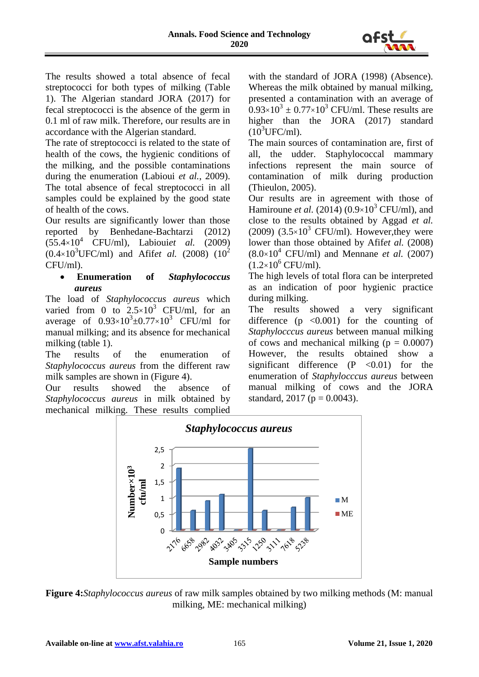

The results showed a total absence of fecal streptococci for both types of milking (Table 1). The Algerian standard JORA (2017) for fecal streptococci is the absence of the germ in 0.1 ml of raw milk. Therefore, our results are in accordance with the Algerian standard.

The rate of streptococci is related to the state of health of the cows, the hygienic conditions of the milking, and the possible contaminations during the enumeration (Labioui *et al.*, 2009). The total absence of fecal streptococci in all samples could be explained by the good state of health of the cows.

Our results are significantly lower than those reported by Benhedane-Bachtarzi (2012) (55.4×10<sup>4</sup> CFU/ml), Labioui*et al.* (2009)  $(0.4 \times 10^3$ UFC/ml) and Afifet al. (2008)  $(10^2$ CFU/ml).

## **Enumeration of** *Staphylococcus aureus*

The load of *Staphylococcus aureus* which varied from 0 to  $2.5 \times 10^3$  CFU/ml, for an average of  $0.93 \times 10^3 \pm 0.77 \times 10^3$  CFU/ml for manual milking; and its absence for mechanical milking (table 1).

The results of the enumeration of *Staphylococcus aureus* from the different raw milk samples are shown in (Figure 4).

Our results showed the absence of *Staphylococcus aureus* in milk obtained by mechanical milking. These results complied

with the standard of JORA (1998) (Absence). Whereas the milk obtained by manual milking, presented a contamination with an average of  $0.93\times10^3 \pm 0.77\times10^3$  CFU/ml. These results are higher than the JORA (2017) standard  $(10^3$ UFC/ml).

The main sources of contamination are, first of all, the udder. Staphylococcal mammary infections represent the main source of contamination of milk during production (Thieulon, 2005).

Our results are in agreement with those of Hamiroune *et al.* (2014) ( $0.9 \times 10^3$  CFU/ml), and close to the results obtained by Aggad *et al.* (2009) (3.5×10<sup>3</sup> CFU/ml). However, they were lower than those obtained by Afifet al. (2008)  $(8.0\times10^4 \text{ CFU/ml})$  and Mennane *et al.* (2007)  $(1.2\times10^{6}$  CFU/ml).

The high levels of total flora can be interpreted as an indication of poor hygienic practice during milking.

The results showed a very significant difference  $(p \le 0.001)$  for the counting of *Staphylocccus aureus* between manual milking of cows and mechanical milking  $(p = 0.0007)$ However, the results obtained show a significant difference  $(P \le 0.01)$  for the enumeration of *Staphylocccus aureus* between manual milking of cows and the JORA standard, 2017 ( $p = 0.0043$ ).



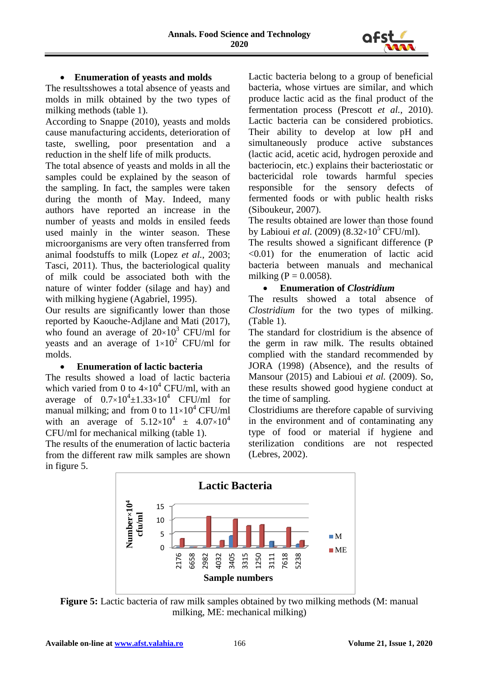

## **Enumeration of yeasts and molds**

The resultsshowes a total absence of yeasts and molds in milk obtained by the two types of milking methods (table 1).

According to Snappe (2010), yeasts and molds cause manufacturing accidents, deterioration of taste, swelling, poor presentation and a reduction in the shelf life of milk products.

The total absence of yeasts and molds in all the samples could be explained by the season of the sampling. In fact, the samples were taken during the month of May. Indeed, many authors have reported an increase in the number of yeasts and molds in ensiled feeds used mainly in the winter season. These microorganisms are very often transferred from animal foodstuffs to milk (Lopez *et al.*, 2003; Tasci, 2011). Thus, the bacteriological quality of milk could be associated both with the nature of winter fodder (silage and hay) and with milking hygiene (Agabriel, 1995).

Our results are significantly lower than those reported by Kaouche-Adjlane and Mati (2017), who found an average of  $20\times10^3$  CFU/ml for yeasts and an average of  $1\times10^2$  CFU/ml for molds.

#### **Enumeration of lactic bacteria**

The results showed a load of lactic bacteria which varied from 0 to  $4\times10^4$  CFU/ml, with an average of  $0.7 \times 10^4 \pm 1.33 \times 10^4$  CFU/ml for manual milking; and from 0 to  $11\times10^4$  CFU/ml with an average of  $5.12 \times 10^4 \pm 4.07 \times 10^4$ CFU/ml for mechanical milking (table 1).

The results of the enumeration of lactic bacteria from the different raw milk samples are shown in figure 5.

Lactic bacteria belong to a group of beneficial bacteria, whose virtues are similar, and which produce lactic acid as the final product of the fermentation process (Prescott *et al.*, 2010). Lactic bacteria can be considered probiotics. Their ability to develop at low pH and simultaneously produce active substances (lactic acid, acetic acid, hydrogen peroxide and bacteriocin, etc.) explains their bacteriostatic or bactericidal role towards harmful species responsible for the sensory defects of fermented foods or with public health risks (Siboukeur, 2007).

The results obtained are lower than those found by Labioui *et al.* (2009) (8.32×10<sup>5</sup> CFU/ml).

The results showed a significant difference (P <0.01) for the enumeration of lactic acid bacteria between manuals and mechanical milking ( $P = 0.0058$ ).

## **Enumeration of** *Clostridium*

The results showed a total absence of *Clostridium* for the two types of milking. (Table 1).

The standard for clostridium is the absence of the germ in raw milk. The results obtained complied with the standard recommended by JORA (1998) (Absence), and the results of Mansour (2015) and Labioui *et al.* (2009). So, these results showed good hygiene conduct at the time of sampling.

Clostridiums are therefore capable of surviving in the environment and of contaminating any type of food or material if hygiene and sterilization conditions are not respected (Lebres, 2002).



**Figure 5:** Lactic bacteria of raw milk samples obtained by two milking methods (M: manual milking, ME: mechanical milking)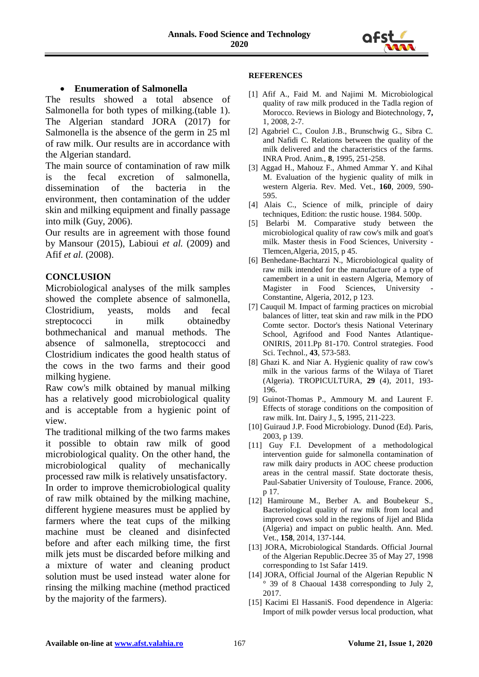

## **Enumeration of Salmonella**

The results showed a total absence of Salmonella for both types of milking.(table 1). The Algerian standard JORA (2017) for Salmonella is the absence of the germ in 25 ml of raw milk. Our results are in accordance with the Algerian standard.

The main source of contamination of raw milk is the fecal excretion of salmonella, dissemination of the bacteria in the environment, then contamination of the udder skin and milking equipment and finally passage into milk (Guy, 2006).

Our results are in agreement with those found by Mansour (2015), Labioui *et al.* (2009) and Afif *et al.* (2008).

## **CONCLUSION**

Microbiological analyses of the milk samples showed the complete absence of salmonella, Clostridium, yeasts, molds and fecal streptococci in milk obtainedby bothmechanical and manual methods. The absence of salmonella, streptococci and Clostridium indicates the good health status of the cows in the two farms and their good milking hygiene.

Raw cow's milk obtained by manual milking has a relatively good microbiological quality and is acceptable from a hygienic point of view.

The traditional milking of the two farms makes it possible to obtain raw milk of good microbiological quality. On the other hand, the microbiological quality of mechanically processed raw milk is relatively unsatisfactory. In order to improve themicrobiological quality of raw milk obtained by the milking machine, different hygiene measures must be applied by farmers where the teat cups of the milking machine must be cleaned and disinfected before and after each milking time, the first milk jets must be discarded before milking and a mixture of water and cleaning product solution must be used instead water alone for rinsing the milking machine (method practiced by the majority of the farmers).

#### **REFERENCES**

- [1] Afif A., Faid M. and Najimi M. Microbiological quality of raw milk produced in the Tadla region of Morocco. Reviews in Biology and Biotechnology, **7,**  1, 2008, 2-7.
- [2] Agabriel C., Coulon J.B., Brunschwig G., Sibra C. and Nafidi C. Relations between the quality of the milk delivered and the characteristics of the farms. INRA Prod. Anim., **8**, 1995, 251-258.
- [3] Aggad H., Mahouz F., Ahmed Ammar Y. and Kihal M. Evaluation of the hygienic quality of milk in western Algeria. Rev. Med. Vet., **160**, 2009, 590- 595.
- [4] Alais C., Science of milk, principle of dairy techniques, Edition: the rustic house. 1984. 500p.
- [5] Belarbi M. Comparative study between the microbiological quality of raw cow's milk and goat's milk. Master thesis in Food Sciences, University - Tlemcen,Algeria, 2015, p 45.
- [6] Benhedane-Bachtarzi N., Microbiological quality of raw milk intended for the manufacture of a type of camembert in a unit in eastern Algeria, Memory of Magister in Food Sciences, University Constantine, Algeria, 2012, p 123.
- [7] Cauquil M. Impact of farming practices on microbial balances of litter, teat skin and raw milk in the PDO Comte sector. Doctor's thesis National Veterinary School, Agrifood and Food Nantes Atlantique-ONIRIS, 2011.Pp 81-170. Control strategies. Food Sci. Technol., **43**, 573-583.
- [8] Ghazi K. and Niar A. Hygienic quality of raw cow's milk in the various farms of the Wilaya of Tiaret (Algeria). TROPICULTURA, **29** (4), 2011, 193- 196.
- [9] Guinot-Thomas P., Ammoury M. and Laurent F. Effects of storage conditions on the composition of raw milk. Int. Dairy J., **5**, 1995, 211-223.
- [10] Guiraud J.P. Food Microbiology. Dunod (Ed). Paris, 2003, p 139.
- [11] Guy F.I. Development of a methodological intervention guide for salmonella contamination of raw milk dairy products in AOC cheese production areas in the central massif. State doctorate thesis, Paul-Sabatier University of Toulouse, France. 2006, p 17.
- [12] Hamiroune M., Berber A. and Boubekeur S., Bacteriological quality of raw milk from local and improved cows sold in the regions of Jijel and Blida (Algeria) and impact on public health. Ann. Med. Vet., **158**, 2014, 137-144.
- [13] JORA, Microbiological Standards. Official Journal of the Algerian Republic.Decree 35 of May 27, 1998 corresponding to 1st Safar 1419.
- [14] JORA, Official Journal of the Algerian Republic N ° 39 of 8 Chaoual 1438 corresponding to July 2, 2017.
- [15] Kacimi El HassaniS. Food dependence in Algeria: Import of milk powder versus local production, what